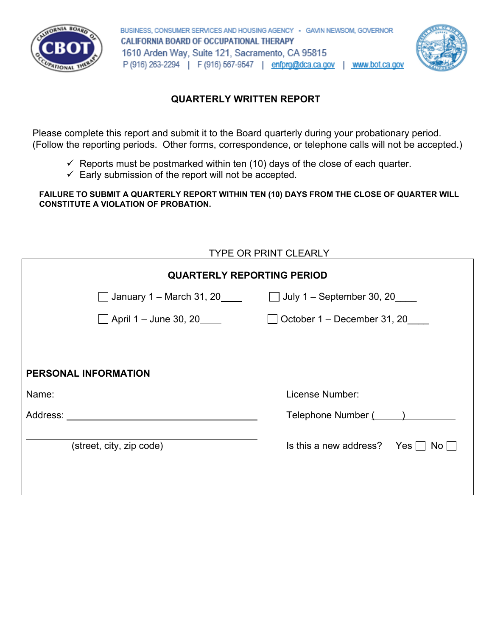

BUSINESS, CONSUMER SERVICES AND HOUSING AGENCY - GAVIN NEWSOM, GOVERNOR CALIFORNIA BOARD OF OCCUPATIONAL THERAPY 1610 Arden Way, Suite 121, Sacramento, CA 95815 P (916) 263-2294 | F (916) 567-9547 | enfprq@dca.ca.gov | www.bot.ca.gov



## **QUARTERLY WRITTEN REPORT**

Please complete this report and submit it to the Board quarterly during your probationary period. (Follow the reporting periods. Other forms, correspondence, or telephone calls will not be accepted.)

- $\checkmark$  Reports must be postmarked within ten (10) days of the close of each quarter.
- $\checkmark$  Early submission of the report will not be accepted.

## **FAILURE TO SUBMIT A QUARTERLY REPORT WITHIN TEN (10) DAYS FROM THE CLOSE OF QUARTER WILL CONSTITUTE A VIOLATION OF PROBATION.**

| <b>TYPE OR PRINT CLEARLY</b>                                                                                                                                                                                                   |
|--------------------------------------------------------------------------------------------------------------------------------------------------------------------------------------------------------------------------------|
| <b>QUARTERLY REPORTING PERIOD</b>                                                                                                                                                                                              |
| January 1 – March 31, 20 $\Box$ July 1 – September 30, 20                                                                                                                                                                      |
| October 1 – December 31, 20<br>$\mathbf{I}$                                                                                                                                                                                    |
|                                                                                                                                                                                                                                |
|                                                                                                                                                                                                                                |
| License Number: National Action of the Contract of the Contract of the Contract of the Contract of the Contract of the Contract of the Contract of the Contract of the Contract of the Contract of the Contract of the Contrac |
| Telephone Number (August 2014)                                                                                                                                                                                                 |
| Is this a new address? Yes $\vert \ \vert$<br>No l                                                                                                                                                                             |
|                                                                                                                                                                                                                                |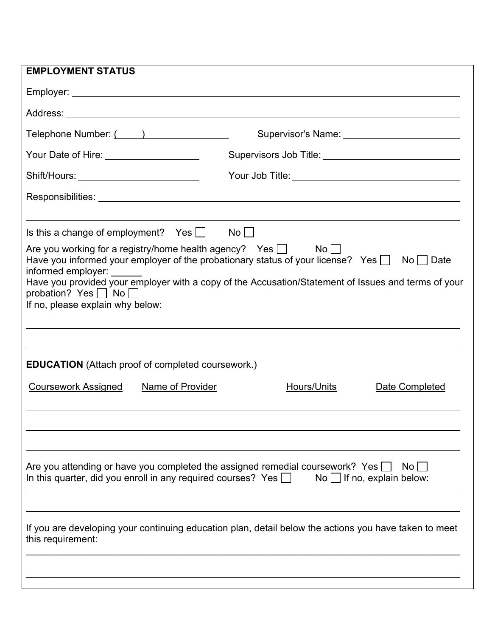| <b>EMPLOYMENT STATUS</b>                                                                                                                                                                                                     |                                                                                                                                                                                                              |
|------------------------------------------------------------------------------------------------------------------------------------------------------------------------------------------------------------------------------|--------------------------------------------------------------------------------------------------------------------------------------------------------------------------------------------------------------|
|                                                                                                                                                                                                                              |                                                                                                                                                                                                              |
|                                                                                                                                                                                                                              |                                                                                                                                                                                                              |
|                                                                                                                                                                                                                              |                                                                                                                                                                                                              |
| Your Date of Hire: _____________________                                                                                                                                                                                     |                                                                                                                                                                                                              |
| Shift/Hours: ____________________________                                                                                                                                                                                    |                                                                                                                                                                                                              |
|                                                                                                                                                                                                                              |                                                                                                                                                                                                              |
| Is this a change of employment? Yes $\Box$ No $\Box$<br>Are you working for a registry/home health agency? Yes $\Box$ No $\Box$<br>informed employer:<br>probation? Yes $\Box$ No $\Box$<br>If no, please explain why below: | Have you informed your employer of the probationary status of your license? Yes $\Box$ No $\Box$ Date<br>Have you provided your employer with a copy of the Accusation/Statement of Issues and terms of your |
| <b>EDUCATION</b> (Attach proof of completed coursework.)<br><b>Coursework Assigned</b><br><b>Name of Provider</b>                                                                                                            | <u>Hours/Units</u><br>Date Completed                                                                                                                                                                         |
| Are you attending or have you completed the assigned remedial coursework? Yes<br>In this quarter, did you enroll in any required courses? Yes $\Box$                                                                         | No <sub>1</sub><br>$\mathsf{No}$   If no, explain below:<br>If you are developing your continuing education plan, detail below the actions you have taken to meet                                            |
| this requirement:                                                                                                                                                                                                            |                                                                                                                                                                                                              |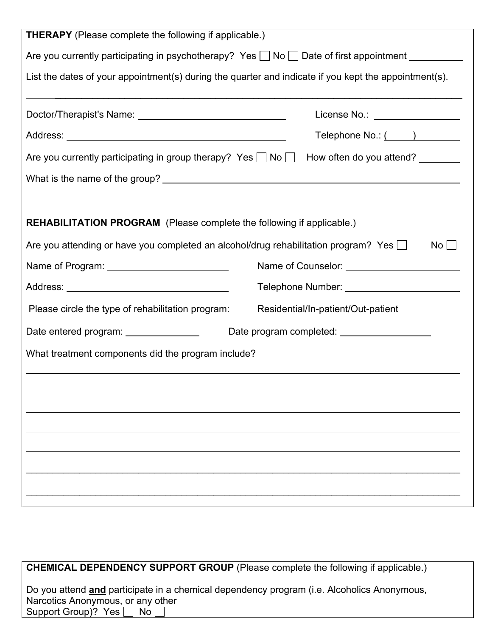| <b>THERAPY</b> (Please complete the following if applicable.)                                                |                                              |
|--------------------------------------------------------------------------------------------------------------|----------------------------------------------|
| Are you currently participating in psychotherapy? Yes $\Box$ No $\Box$ Date of first appointment ___________ |                                              |
| List the dates of your appointment(s) during the quarter and indicate if you kept the appointment(s).        |                                              |
|                                                                                                              |                                              |
|                                                                                                              | License No.: _________________               |
|                                                                                                              | Telephone No.: ( )                           |
| Are you currently participating in group therapy? Yes and No and How often do you attend?                    |                                              |
|                                                                                                              |                                              |
|                                                                                                              |                                              |
| REHABILITATION PROGRAM (Please complete the following if applicable.)                                        |                                              |
| Are you attending or have you completed an alcohol/drug rehabilitation program? Yes $\Box$                   | No <sub>1</sub>                              |
| Name of Program: Name of Program:                                                                            | Name of Counselor: _________________________ |
|                                                                                                              | Telephone Number: _________________________  |
| Please circle the type of rehabilitation program:                                                            | Residential/In-patient/Out-patient           |
| Date entered program: _______________                                                                        | Date program completed: ___________________  |
| What treatment components did the program include?                                                           |                                              |
|                                                                                                              |                                              |
|                                                                                                              |                                              |
|                                                                                                              |                                              |
|                                                                                                              |                                              |
|                                                                                                              |                                              |
|                                                                                                              |                                              |
|                                                                                                              |                                              |
|                                                                                                              |                                              |

| <b>CHEMICAL DEPENDENCY SUPPORT GROUP</b> (Please complete the following if applicable.)                                         |  |
|---------------------------------------------------------------------------------------------------------------------------------|--|
| Do you attend and participate in a chemical dependency program (i.e. Alcoholics Anonymous,<br>Narcotics Anonymous, or any other |  |
| Support Group)? Yes $\Box$ No $\Box$                                                                                            |  |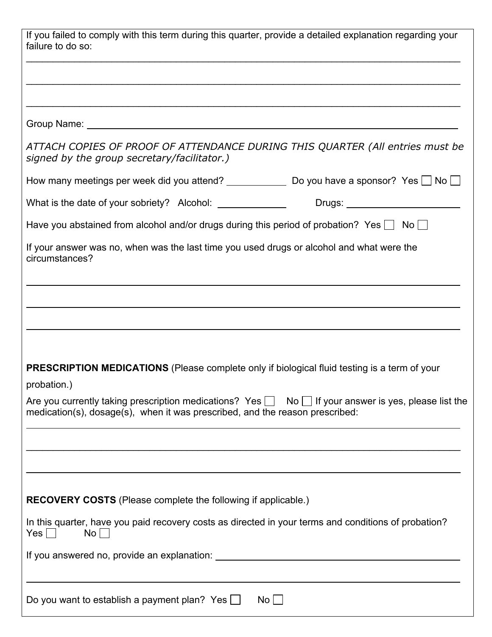| signed by the group secretary/facilitator.)                                                                 | ATTACH COPIES OF PROOF OF ATTENDANCE DURING THIS QUARTER (All entries must be                                  |
|-------------------------------------------------------------------------------------------------------------|----------------------------------------------------------------------------------------------------------------|
|                                                                                                             | How many meetings per week did you attend? _______________ Do you have a sponsor? Yes __ No __                 |
| What is the date of your sobriety? Alcohol: _______________                                                 | Drugs: _________________________                                                                               |
|                                                                                                             | Have you abstained from alcohol and/or drugs during this period of probation? Yes $\Box$ No $\Box$             |
| If your answer was no, when was the last time you used drugs or alcohol and what were the<br>circumstances? |                                                                                                                |
|                                                                                                             |                                                                                                                |
|                                                                                                             |                                                                                                                |
|                                                                                                             |                                                                                                                |
|                                                                                                             |                                                                                                                |
|                                                                                                             |                                                                                                                |
|                                                                                                             | <b>PRESCRIPTION MEDICATIONS</b> (Please complete only if biological fluid testing is a term of your            |
| probation.)                                                                                                 |                                                                                                                |
| medication(s), dosage(s), when it was prescribed, and the reason prescribed:                                |                                                                                                                |
|                                                                                                             | Are you currently taking prescription medications? Yes $\Box$ No $\Box$ If your answer is yes, please list the |
|                                                                                                             |                                                                                                                |
|                                                                                                             |                                                                                                                |
| <b>RECOVERY COSTS</b> (Please complete the following if applicable.)                                        |                                                                                                                |
| No<br>$Yes \mid \mid$                                                                                       | In this quarter, have you paid recovery costs as directed in your terms and conditions of probation?           |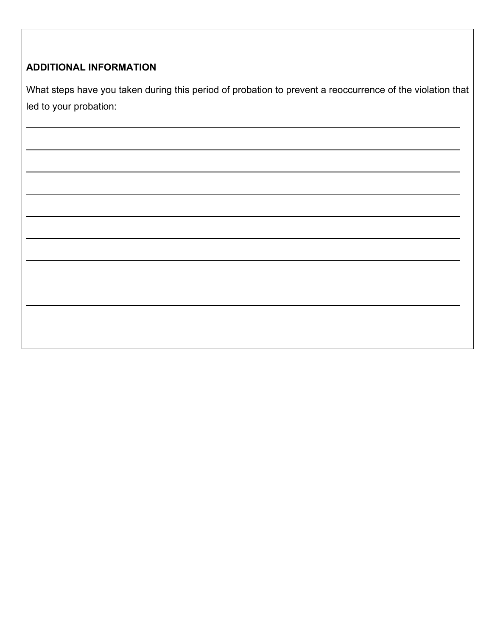## **ADDITIONAL INFORMATION**

 $\overline{a}$ 

What steps have you taken during this period of probation to prevent a reoccurrence of the violation that led to your probation: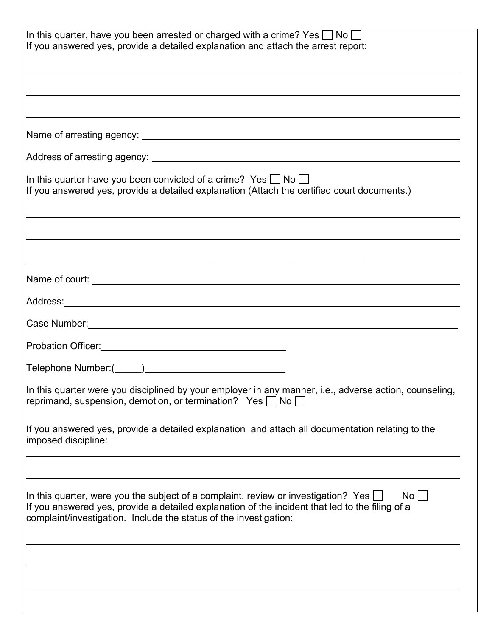| In this quarter, have you been arrested or charged with a crime? Yes $\Box$ No $\Box$<br>If you answered yes, provide a detailed explanation and attach the arrest report:                                                                                                       |
|----------------------------------------------------------------------------------------------------------------------------------------------------------------------------------------------------------------------------------------------------------------------------------|
|                                                                                                                                                                                                                                                                                  |
|                                                                                                                                                                                                                                                                                  |
|                                                                                                                                                                                                                                                                                  |
| In this quarter have you been convicted of a crime? Yes $\Box$ No $\Box$<br>If you answered yes, provide a detailed explanation (Attach the certified court documents.)                                                                                                          |
|                                                                                                                                                                                                                                                                                  |
| Name of court: <u>contribution and contract and contribution</u> and contract and contract and contract and contract and contract and contract and contract and contract and contract and contract and contract and contract and co                                              |
|                                                                                                                                                                                                                                                                                  |
|                                                                                                                                                                                                                                                                                  |
|                                                                                                                                                                                                                                                                                  |
|                                                                                                                                                                                                                                                                                  |
| In this quarter were you disciplined by your employer in any manner, i.e., adverse action, counseling,<br>reprimand, suspension, demotion, or termination? Yes $\Box$ No $\Box$                                                                                                  |
| If you answered yes, provide a detailed explanation and attach all documentation relating to the<br>imposed discipline:                                                                                                                                                          |
|                                                                                                                                                                                                                                                                                  |
| In this quarter, were you the subject of a complaint, review or investigation? Yes $\square$<br>$No$ $ $<br>If you answered yes, provide a detailed explanation of the incident that led to the filing of a<br>complaint/investigation. Include the status of the investigation: |
|                                                                                                                                                                                                                                                                                  |
|                                                                                                                                                                                                                                                                                  |
|                                                                                                                                                                                                                                                                                  |